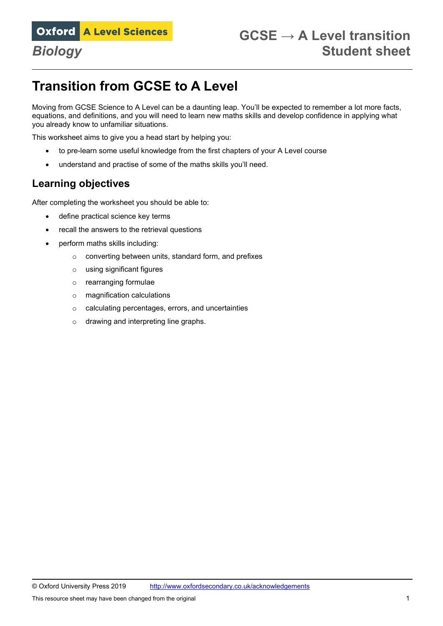# **Transition from GCSE to A Level**

Moving from GCSE Science to A Level can be a daunting leap. You'll be expected to remember a lot more facts, equations, and definitions, and you will need to learn new maths skills and develop confidence in applying what you already know to unfamiliar situations.

This worksheet aims to give you a head start by helping you:

- to pre-learn some useful knowledge from the first chapters of your A Level course
- understand and practise of some of the maths skills you'll need.

### **Learning objectives**

After completing the worksheet you should be able to:

- define practical science key terms
- recall the answers to the retrieval questions
- perform maths skills including:
	- o converting between units, standard form, and prefixes
	- o using significant figures
	- o rearranging formulae
	- o magnification calculations
	- o calculating percentages, errors, and uncertainties
	- o drawing and interpreting line graphs.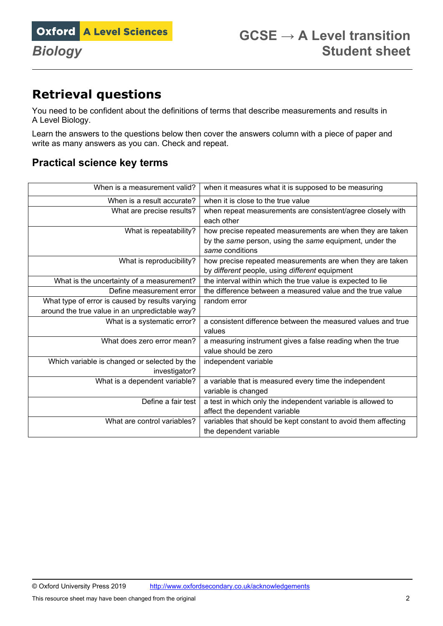## **Retrieval questions**

You need to be confident about the definitions of terms that describe measurements and results in A Level Biology.

Learn the answers to the questions below then cover the answers column with a piece of paper and write as many answers as you can. Check and repeat.

## **Practical science key terms**

| When is a measurement valid?                    | when it measures what it is supposed to be measuring           |
|-------------------------------------------------|----------------------------------------------------------------|
| When is a result accurate?                      | when it is close to the true value                             |
| What are precise results?                       | when repeat measurements are consistent/agree closely with     |
|                                                 | each other                                                     |
| What is repeatability?                          | how precise repeated measurements are when they are taken      |
|                                                 | by the same person, using the same equipment, under the        |
|                                                 | same conditions                                                |
| What is reproducibility?                        | how precise repeated measurements are when they are taken      |
|                                                 | by different people, using different equipment                 |
| What is the uncertainty of a measurement?       | the interval within which the true value is expected to lie    |
| Define measurement error                        | the difference between a measured value and the true value     |
| What type of error is caused by results varying | random error                                                   |
| around the true value in an unpredictable way?  |                                                                |
| What is a systematic error?                     | a consistent difference between the measured values and true   |
|                                                 | values                                                         |
| What does zero error mean?                      | a measuring instrument gives a false reading when the true     |
|                                                 | value should be zero                                           |
| Which variable is changed or selected by the    | independent variable                                           |
| investigator?                                   |                                                                |
| What is a dependent variable?                   | a variable that is measured every time the independent         |
|                                                 | variable is changed                                            |
| Define a fair test                              | a test in which only the independent variable is allowed to    |
|                                                 | affect the dependent variable                                  |
| What are control variables?                     | variables that should be kept constant to avoid them affecting |
|                                                 | the dependent variable                                         |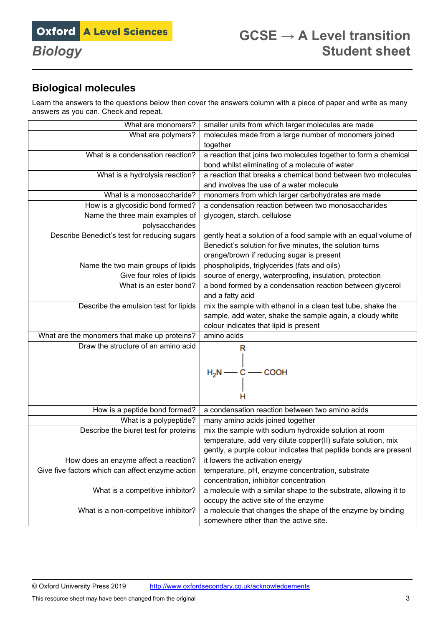## **Biological molecules**

Learn the answers to the questions below then cover the answers column with a piece of paper and write as many answers as you can. Check and repeat.

| What are monomers?                               | smaller units from which larger molecules are made               |
|--------------------------------------------------|------------------------------------------------------------------|
| What are polymers?                               | molecules made from a large number of monomers joined            |
|                                                  | together                                                         |
| What is a condensation reaction?                 | a reaction that joins two molecules together to form a chemical  |
|                                                  | bond whilst eliminating of a molecule of water                   |
| What is a hydrolysis reaction?                   | a reaction that breaks a chemical bond between two molecules     |
|                                                  | and involves the use of a water molecule                         |
| What is a monosaccharide?                        | monomers from which larger carbohydrates are made                |
| How is a glycosidic bond formed?                 | a condensation reaction between two monosaccharides              |
| Name the three main examples of                  | glycogen, starch, cellulose                                      |
| polysaccharides                                  |                                                                  |
| Describe Benedict's test for reducing sugars     | gently heat a solution of a food sample with an equal volume of  |
|                                                  | Benedict's solution for five minutes, the solution turns         |
|                                                  | orange/brown if reducing sugar is present                        |
| Name the two main groups of lipids               | phospholipids, triglycerides (fats and oils)                     |
| Give four roles of lipids                        | source of energy, waterproofing, insulation, protection          |
| What is an ester bond?                           | a bond formed by a condensation reaction between glycerol        |
|                                                  | and a fatty acid                                                 |
| Describe the emulsion test for lipids            | mix the sample with ethanol in a clean test tube, shake the      |
|                                                  | sample, add water, shake the sample again, a cloudy white        |
|                                                  | colour indicates that lipid is present                           |
| What are the monomers that make up proteins?     | amino acids                                                      |
| Draw the structure of an amino acid              | R                                                                |
|                                                  |                                                                  |
|                                                  | $H_2N \longrightarrow C \longrightarrow COOH$                    |
|                                                  |                                                                  |
|                                                  |                                                                  |
|                                                  |                                                                  |
| How is a peptide bond formed?                    | a condensation reaction between two amino acids                  |
| What is a polypeptide?                           | many amino acids joined together                                 |
| Describe the biuret test for proteins            | mix the sample with sodium hydroxide solution at room            |
|                                                  | temperature, add very dilute copper(II) sulfate solution, mix    |
|                                                  | gently, a purple colour indicates that peptide bonds are present |
| How does an enzyme affect a reaction?            | it lowers the activation energy                                  |
| Give five factors which can affect enzyme action | temperature, pH, enzyme concentration, substrate                 |
|                                                  | concentration, inhibitor concentration                           |
| What is a competitive inhibitor?                 | a molecule with a similar shape to the substrate, allowing it to |
|                                                  | occupy the active site of the enzyme                             |
| What is a non-competitive inhibitor?             | a molecule that changes the shape of the enzyme by binding       |
|                                                  | somewhere other than the active site.                            |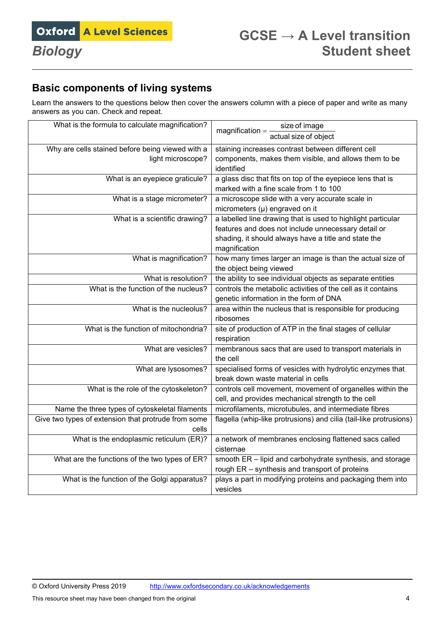## **Basic components of living systems**

Learn the answers to the questions below then cover the answers column with a piece of paper and write as many answers as you can. Check and repeat.

| What is the formula to calculate magnification?     | size of image<br>$magnification =$                                     |
|-----------------------------------------------------|------------------------------------------------------------------------|
|                                                     | actual size of object                                                  |
| Why are cells stained before being viewed with a    | staining increases contrast between different cell                     |
| light microscope?                                   | components, makes them visible, and allows them to be                  |
|                                                     | identified                                                             |
| What is an eyepiece graticule?                      | a glass disc that fits on top of the eyepiece lens that is             |
|                                                     | marked with a fine scale from 1 to 100                                 |
| What is a stage micrometer?                         | a microscope slide with a very accurate scale in                       |
|                                                     | micrometers $(\mu)$ engraved on it                                     |
| What is a scientific drawing?                       | a labelled line drawing that is used to highlight particular           |
|                                                     | features and does not include unnecessary detail or                    |
|                                                     | shading, it should always have a title and state the                   |
|                                                     | magnification                                                          |
| What is magnification?                              | how many times larger an image is than the actual size of              |
|                                                     | the object being viewed                                                |
| What is resolution?                                 | the ability to see individual objects as separate entities             |
| What is the function of the nucleus?                | controls the metabolic activities of the cell as it contains           |
|                                                     | genetic information in the form of DNA                                 |
| What is the nucleolus?                              | area within the nucleus that is responsible for producing              |
|                                                     | ribosomes                                                              |
| What is the function of mitochondria?               | site of production of ATP in the final stages of cellular              |
|                                                     | respiration                                                            |
| What are vesicles?                                  | membranous sacs that are used to transport materials in                |
|                                                     | the cell                                                               |
| What are lysosomes?                                 | specialised forms of vesicles with hydrolytic enzymes that             |
|                                                     | break down waste material in cells                                     |
| What is the role of the cytoskeleton?               | controls cell movement, movement of organelles within the              |
|                                                     | cell, and provides mechanical strength to the cell                     |
| Name the three types of cytoskeletal filaments      | microfilaments, microtubules, and intermediate fibres                  |
| Give two types of extension that protrude from some | flagella (whip-like protrusions) and cilia (tail-like protrusions)     |
| cells                                               |                                                                        |
| What is the endoplasmic reticulum (ER)?             | a network of membranes enclosing flattened sacs called                 |
|                                                     | cisternae                                                              |
| What are the functions of the two types of ER?      | smooth ER - lipid and carbohydrate synthesis, and storage              |
|                                                     | rough ER - synthesis and transport of proteins                         |
| What is the function of the Golgi apparatus?        | plays a part in modifying proteins and packaging them into<br>vesicles |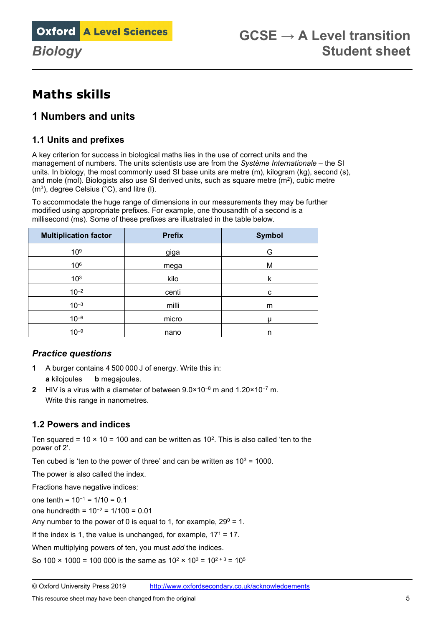## **Maths skills**

## **1 Numbers and units**

#### **1.1 Units and prefixes**

A key criterion for success in biological maths lies in the use of correct units and the management of numbers. The units scientists use are from the *Système Internationale* – the SI units. In biology, the most commonly used SI base units are metre (m), kilogram (kg), second (s), and mole (mol). Biologists also use SI derived units, such as square metre (m2), cubic metre (m3), degree Celsius (°C), and litre (l).

To accommodate the huge range of dimensions in our measurements they may be further modified using appropriate prefixes. For example, one thousandth of a second is a millisecond (ms). Some of these prefixes are illustrated in the table below.

| <b>Multiplication factor</b> | <b>Prefix</b> | <b>Symbol</b> |
|------------------------------|---------------|---------------|
| 10 <sup>9</sup>              | giga          | G             |
| 106                          | mega          | M             |
| 10 <sup>3</sup>              | kilo          | k             |
| $10^{-2}$                    | centi         | c             |
| $10^{-3}$                    | milli         | m             |
| $10^{-6}$                    | micro         | u             |
| $10^{-9}$                    | nano          | n             |

#### *Practice questions*

- **1** A burger contains 4 500 000 J of energy. Write this in: **a** kilojoules **b** megajoules.
- **2** HIV is a virus with a diameter of between 9.0×10<sup>−</sup><sup>8</sup> m and 1.20×10<sup>−</sup><sup>7</sup> m. Write this range in nanometres.

### **1.2 Powers and indices**

Ten squared =  $10 \times 10 = 100$  and can be written as  $10^2$ . This is also called 'ten to the power of 2'.

Ten cubed is 'ten to the power of three' and can be written as  $10^3 = 1000$ .

The power is also called the index.

Fractions have negative indices:

one tenth =  $10^{-1}$  =  $1/10$  = 0.1

one hundredth = 10<sup>−</sup><sup>2</sup> = 1/100 = 0.01

Any number to the power of 0 is equal to 1, for example,  $29^{\circ} = 1$ .

If the index is 1, the value is unchanged, for example,  $17<sup>1</sup> = 17$ .

When multiplying powers of ten, you must *add* the indices.

So 100  $\times$  1000 = 100 000 is the same as 10<sup>2</sup>  $\times$  10<sup>3</sup> = 10<sup>2 + 3</sup> = 10<sup>5</sup>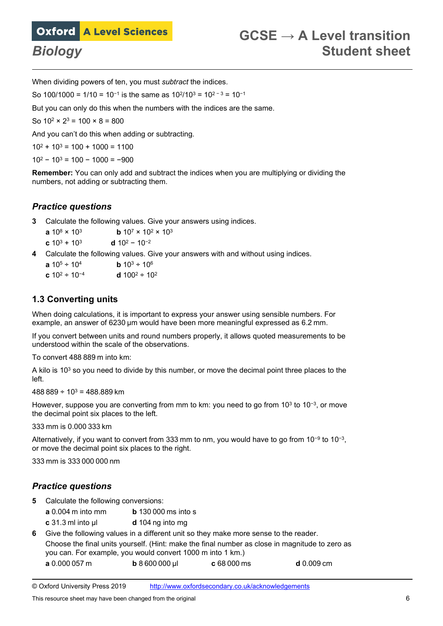

When dividing powers of ten, you must *subtract* the indices.

So 100/1000 = 1/10 = 10<sup>-1</sup> is the same as  $10^{2}/10^{3}$  =  $10^{2-3}$  =  $10^{-1}$ 

But you can only do this when the numbers with the indices are the same.

So  $10^2 \times 2^3 = 100 \times 8 = 800$ 

And you can't do this when adding or subtracting.

 $10^2 + 10^3 = 100 + 1000 = 1100$ 

 $10^2 - 10^3 = 100 - 1000 = -900$ 

**Remember:** You can only add and subtract the indices when you are multiplying or dividing the numbers, not adding or subtracting them.

#### *Practice questions*

**3** Calculate the following values. Give your answers using indices.

**a**  $10^8 \times 10^3$  **b**  $10^7 \times 10^2 \times 10^3$ **c**  $10^3 + 10^3$  **d**  $10^2 - 10^{-2}$ 

**4** Calculate the following values. Give your answers with and without using indices.

| <b>a</b> $10^5 \div 10^4$    | <b>b</b> $10^3 \div 10^6$  |
|------------------------------|----------------------------|
| <b>c</b> $10^2 \div 10^{-4}$ | <b>d</b> $100^2 \div 10^2$ |

#### **1.3 Converting units**

When doing calculations, it is important to express your answer using sensible numbers. For example, an answer of 6230 μm would have been more meaningful expressed as 6.2 mm.

If you convert between units and round numbers properly, it allows quoted measurements to be understood within the scale of the observations.

To convert 488 889 m into km:

A kilo is 103 so you need to divide by this number, or move the decimal point three places to the left.

 $488889 \div 10^{3} = 488.889$  km

However, suppose you are converting from mm to km: you need to go from 10<sup>3</sup> to 10<sup>-3</sup>, or move the decimal point six places to the left.

333 mm is 0.000 333 km

Alternatively, if you want to convert from 333 mm to nm, you would have to go from 10−9 to 10−3, or move the decimal point six places to the right.

333 mm is 333 000 000 nm

#### *Practice questions*

- **5** Calculate the following conversions:
	- **a** 0.004 m into mm **b** 130 000 ms into s
	- **c** 31.3 ml into μl **d** 104 ng into mg

**6** Give the following values in a different unit so they make more sense to the reader. Choose the final units yourself. (Hint: make the final number as close in magnitude to zero as you can. For example, you would convert 1000 m into 1 km.)

**a** 0.000 057 m **b** 8 600 000 μl **c** 68 000 ms **d** 0.009 cm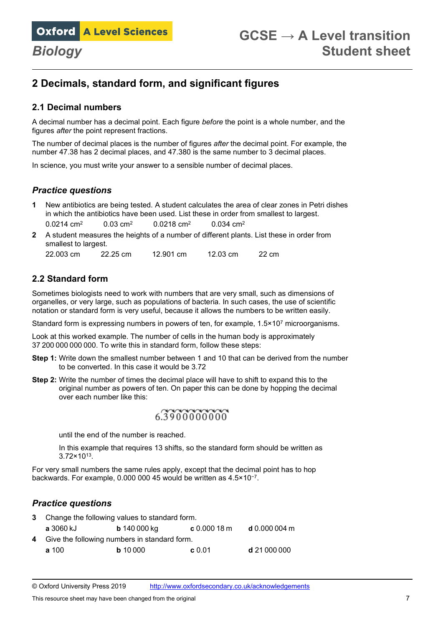## **2 Decimals, standard form, and significant figures**

#### **2.1 Decimal numbers**

A decimal number has a decimal point. Each figure *before* the point is a whole number, and the figures *after* the point represent fractions.

The number of decimal places is the number of figures *after* the decimal point. For example, the number 47.38 has 2 decimal places, and 47.380 is the same number to 3 decimal places.

In science, you must write your answer to a sensible number of decimal places.

#### *Practice questions*

- **1** New antibiotics are being tested. A student calculates the area of clear zones in Petri dishes in which the antibiotics have been used. List these in order from smallest to largest. 0.0214 cm<sup>2</sup> 0.03 cm<sup>2</sup> 0.0218 cm<sup>2</sup> 0.034 cm<sup>2</sup>
- **2** A student measures the heights of a number of different plants. List these in order from smallest to largest.

#### **2.2 Standard form**

Sometimes biologists need to work with numbers that are very small, such as dimensions of organelles, or very large, such as populations of bacteria. In such cases, the use of scientific notation or standard form is very useful, because it allows the numbers to be written easily.

Standard form is expressing numbers in powers of ten, for example,  $1.5 \times 10^7$  microorganisms.

Look at this worked example. The number of cells in the human body is approximately 37 200 000 000 000. To write this in standard form, follow these steps:

- **Step 1:** Write down the smallest number between 1 and 10 that can be derived from the number to be converted. In this case it would be 3.72
- **Step 2:** Write the number of times the decimal place will have to shift to expand this to the original number as powers of ten. On paper this can be done by hopping the decimal over each number like this:

## 63300000000

until the end of the number is reached.

In this example that requires 13 shifts, so the standard form should be written as 3.72×1013.

For very small numbers the same rules apply, except that the decimal point has to hop backwards. For example, 0.000 000 45 would be written as 4.5×10<sup>−</sup>7.

#### *Practice questions*

| 3 Change the following values to standard form. |                  |                                                |             |                |
|-------------------------------------------------|------------------|------------------------------------------------|-------------|----------------|
|                                                 | <b>a</b> 3060 kJ | <b>b</b> 140 000 kg                            | c 0.00018 m | d $0.000004$ m |
|                                                 |                  | 4 Give the following numbers in standard form. |             |                |
|                                                 | a 100            | $b$ 10 000                                     | c 0.01      | d 21 000 000   |

© Oxford University Press 2019 <http://www.oxfordsecondary.co.uk/acknowledgements>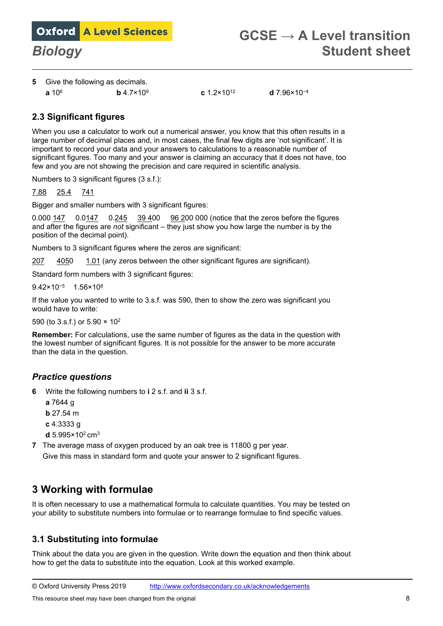**5** Give the following as decimals.

**a** 106 **b** 4.7×109 **c** 1.2×1012 **d** 7.96×10<sup>−</sup><sup>4</sup>

#### **2.3 Significant figures**

When you use a calculator to work out a numerical answer, you know that this often results in a large number of decimal places and, in most cases, the final few digits are 'not significant'. It is important to record your data and your answers to calculations to a reasonable number of significant figures. Too many and your answer is claiming an accuracy that it does not have, too few and you are not showing the precision and care required in scientific analysis.

Numbers to 3 significant figures (3 s.f.):

7.88 25.4 741

Bigger and smaller numbers with 3 significant figures:

0.000 147 0.0147 0.245 39 400 96 200 000 (notice that the zeros before the figures and after the figures are *not* significant – they just show you how large the number is by the position of the decimal point).

Numbers to 3 significant figures where the zeros *are* significant:

207 4050 1.01 (any zeros between the other significant figures *are* significant).

Standard form numbers with 3 significant figures:

9.42×10<sup>−</sup>5 1.56×108

If the value you wanted to write to 3.s.f. was 590, then to show the zero was significant you would have to write:

590 (to 3.s.f.) or 5.90 × 102

**Remember:** For calculations, use the same number of figures as the data in the question with the lowest number of significant figures. It is not possible for the answer to be more accurate than the data in the question.

#### *Practice questions*

- **6** Write the following numbers to **i** 2 s.f. and **ii** 3 s.f.
	- **a** 7644 g
	- **b** 27.54 m
	- **c** 4.3333 g
	- **d** 5.995×102 cm3
- **7** The average mass of oxygen produced by an oak tree is 11800 g per year. Give this mass in standard form and quote your answer to 2 significant figures.

## **3 Working with formulae**

It is often necessary to use a mathematical formula to calculate quantities. You may be tested on your ability to substitute numbers into formulae or to rearrange formulae to find specific values.

#### **3.1 Substituting into formulae**

Think about the data you are given in the question. Write down the equation and then think about how to get the data to substitute into the equation. Look at this worked example.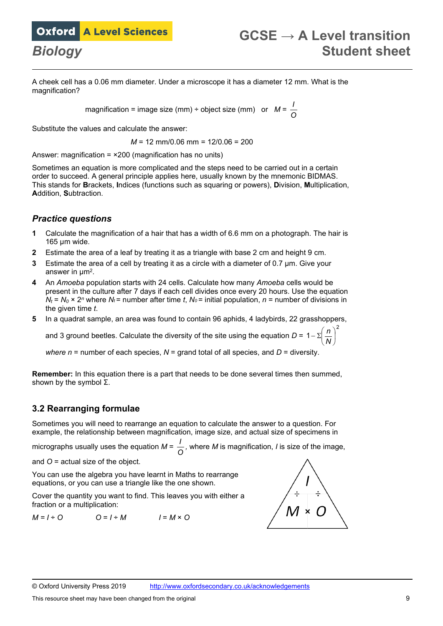A cheek cell has a 0.06 mm diameter. Under a microscope it has a diameter 12 mm. What is the magnification?

> magnification = image size (mm) ÷ object size (mm) or *M* = *O I*

Substitute the values and calculate the answer:

*M* = 12 mm/0.06 mm = 12/0.06 = 200

Answer: magnification = ×200 (magnification has no units)

Sometimes an equation is more complicated and the steps need to be carried out in a certain order to succeed. A general principle applies here, usually known by the mnemonic BIDMAS. This stands for **B**rackets, **I**ndices (functions such as squaring or powers), **D**ivision, **M**ultiplication, **A**ddition, **S**ubtraction.

#### *Practice questions*

- **1** Calculate the magnification of a hair that has a width of 6.6 mm on a photograph. The hair is 165 µm wide.
- **2** Estimate the area of a leaf by treating it as a triangle with base 2 cm and height 9 cm.
- **3** Estimate the area of a cell by treating it as a circle with a diameter of 0.7 µm. Give your answer in µm2.
- **4** An *Amoeba* population starts with 24 cells. Calculate how many *Amoeba* cells would be present in the culture after 7 days if each cell divides once every 20 hours. Use the equation  $N_t = N_0 \times 2^n$  where  $N_t$  = number after time *t*,  $N_0$  = initial population,  $n$  = number of divisions in the given time *t*.
- **5** In a quadrat sample, an area was found to contain 96 aphids, 4 ladybirds, 22 grasshoppers,

and 3 ground beetles. Calculate the diversity of the site using the equation *D* =  $\left|1-\sum\right|\frac{H}{M}$  $\left(\frac{n}{n}\right)$ l ſ Σ−

*where n* = number of each species, *N* = grand total of all species, and *D* = diversity.

**Remember:** In this equation there is a part that needs to be done several times then summed, shown by the symbol Σ.

#### **3.2 Rearranging formulae**

Sometimes you will need to rearrange an equation to calculate the answer to a question. For example, the relationship between magnification, image size, and actual size of specimens in

micrographs usually uses the equation *M* = *O <sup>I</sup> ,* where *M* is magnification, *I* is size of the image,

and *O* = actual size of the object.

You can use the algebra you have learnt in Maths to rearrange equations, or you can use a triangle like the one shown.

Cover the quantity you want to find. This leaves you with either a fraction or a multiplication:

 $M = I \div O$   $Q = I \div M$   $I = M \times O$ 



2

)

*N n*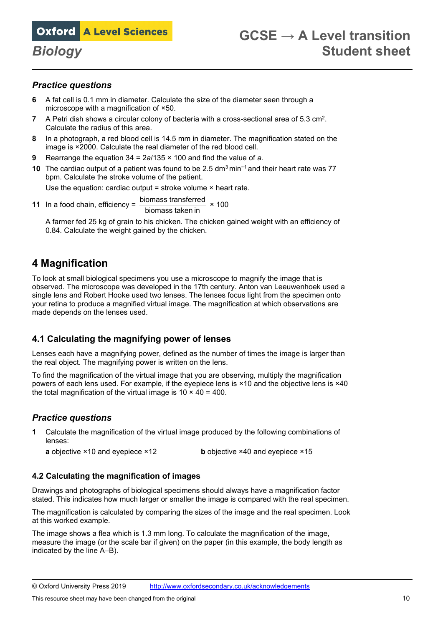#### *Practice questions*

- **6** A fat cell is 0.1 mm in diameter. Calculate the size of the diameter seen through a microscope with a magnification of ×50.
- **7** A Petri dish shows a circular colony of bacteria with a cross-sectional area of 5.3 cm2. Calculate the radius of this area.
- **8** In a photograph, a red blood cell is 14.5 mm in diameter. The magnification stated on the image is ×2000. Calculate the real diameter of the red blood cell.
- **9** Rearrange the equation 34 = 2*a*/135 × 100 and find the value of *a.*
- **10** The cardiac output of a patient was found to be 2.5 dm3 min<sup>−</sup><sup>1</sup> and their heart rate was 77 bpm. Calculate the stroke volume of the patient.

Use the equation: cardiac output = stroke volume  $\times$  heart rate.

**11** In a food chain, efficiency =  $\frac{\text{biomass transferred}}{\text{biomass taken in}} \times 100$ 

A farmer fed 25 kg of grain to his chicken. The chicken gained weight with an efficiency of 0.84. Calculate the weight gained by the chicken.

### **4 Magnification**

To look at small biological specimens you use a microscope to magnify the image that is observed. The microscope was developed in the 17th century. Anton van Leeuwenhoek used a single lens and Robert Hooke used two lenses. The lenses focus light from the specimen onto your retina to produce a magnified virtual image. The magnification at which observations are made depends on the lenses used.

#### **4.1 Calculating the magnifying power of lenses**

Lenses each have a magnifying power, defined as the number of times the image is larger than the real object. The magnifying power is written on the lens.

To find the magnification of the virtual image that you are observing, multiply the magnification powers of each lens used. For example, if the eyepiece lens is ×10 and the objective lens is ×40 the total magnification of the virtual image is  $10 \times 40 = 400$ .

#### *Practice questions*

**1** Calculate the magnification of the virtual image produced by the following combinations of lenses:

**a** objective ×10 and eyepiece ×12 **b** objective ×40 and eyepiece ×15

#### **4.2 Calculating the magnification of images**

Drawings and photographs of biological specimens should always have a magnification factor stated. This indicates how much larger or smaller the image is compared with the real specimen.

The magnification is calculated by comparing the sizes of the image and the real specimen. Look at this worked example.

The image shows a flea which is 1.3 mm long. To calculate the magnification of the image, measure the image (or the scale bar if given) on the paper (in this example, the body length as indicated by the line A–B).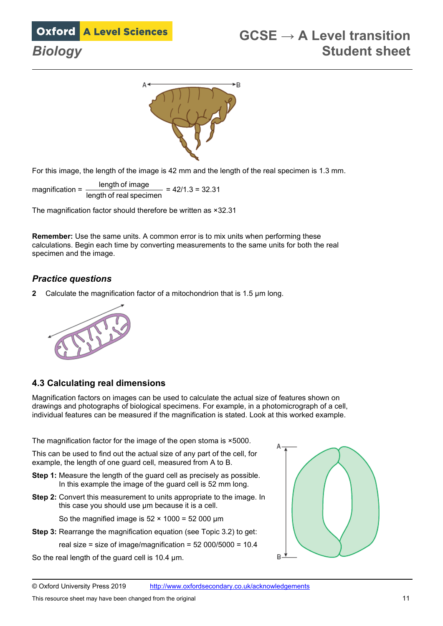



For this image, the length of the image is 42 mm and the length of the real specimen is 1.3 mm.

magnification = length of image  $\frac{\text{length of image}}{\text{length of real specimen}} = 42/1.3 = 32.31$ 

The magnification factor should therefore be written as ×32.31

**Remember:** Use the same units. A common error is to mix units when performing these calculations. Begin each time by converting measurements to the same units for both the real specimen and the image.

#### *Practice questions*

**2** Calculate the magnification factor of a mitochondrion that is 1.5 µm long.



#### **4.3 Calculating real dimensions**

Magnification factors on images can be used to calculate the actual size of features shown on drawings and photographs of biological specimens. For example, in a photomicrograph of a cell, individual features can be measured if the magnification is stated. Look at this worked example.

The magnification factor for the image of the open stoma is ×5000.

This can be used to find out the actual size of any part of the cell, for example, the length of one guard cell, measured from A to B.

- **Step 1:** Measure the length of the guard cell as precisely as possible. In this example the image of the guard cell is 52 mm long.
- **Step 2:** Convert this measurement to units appropriate to the image. In this case you should use um because it is a cell.

So the magnified image is  $52 \times 1000 = 52000 \mu m$ 

**Step 3:** Rearrange the magnification equation (see Topic 3.2) to get:

real size = size of image/magnification =  $52\,000/5000 = 10.4$ 

So the real length of the guard cell is 10.4 µm.

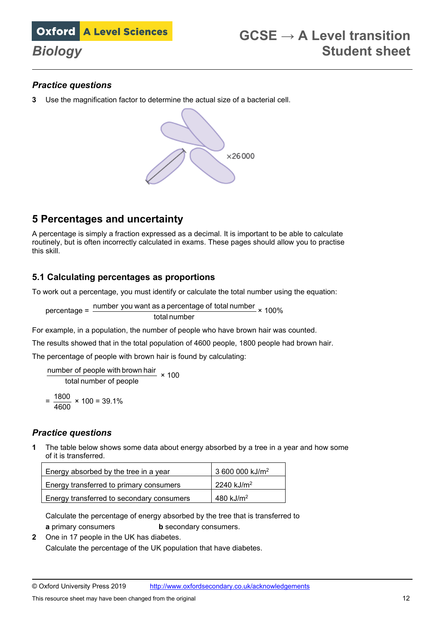### *Practice questions*

**3** Use the magnification factor to determine the actual size of a bacterial cell.



## **5 Percentages and uncertainty**

A percentage is simply a fraction expressed as a decimal. It is important to be able to calculate routinely, but is often incorrectly calculated in exams. These pages should allow you to practise this skill.

### **5.1 Calculating percentages as proportions**

To work out a percentage, you must identify or calculate the total number using the equation:

percentage =  $\frac{\text{number you want as a percentage of total number}}{\text{number}} \times 100\%$ total number

For example, in a population, the number of people who have brown hair was counted.

The results showed that in the total population of 4600 people, 1800 people had brown hair.

The percentage of people with brown hair is found by calculating:

total number of people  $\frac{5}{2}$  number of people with brown hair  $\times$  100  $=\frac{1800}{4600} \times 100 = 39.1\%$ 

#### *Practice questions*

**1** The table below shows some data about energy absorbed by a tree in a year and how some of it is transferred.

| Energy absorbed by the tree in a year     | 3 600 000 kJ/m <sup>2</sup> |
|-------------------------------------------|-----------------------------|
| Energy transferred to primary consumers   | $12240 \text{ kJ/m}^2$      |
| Energy transferred to secondary consumers | 480 kJ/m <sup>2</sup>       |

Calculate the percentage of energy absorbed by the tree that is transferred to **a** primary consumers **b** secondary consumers.

**2** One in 17 people in the UK has diabetes. Calculate the percentage of the UK population that have diabetes.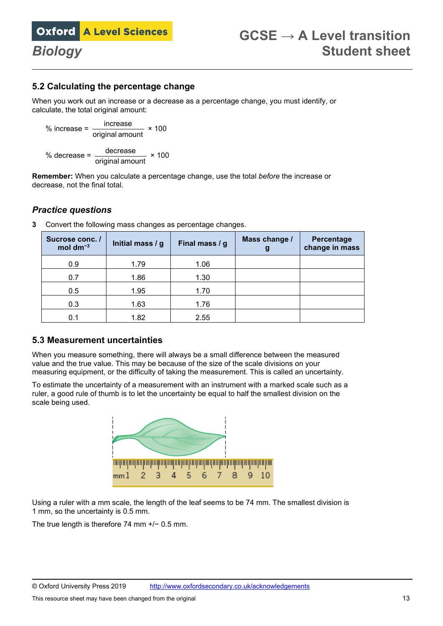#### **5.2 Calculating the percentage change**

When you work out an increase or a decrease as a percentage change, you must identify, or calculate, the total original amount:

% increase = 
$$
\frac{\text{increase}}{\text{original amount}} \times 100
$$
  
% decrease = 
$$
\frac{\text{decrease}}{\text{original amount}} \times 100
$$

**Remember:** When you calculate a percentage change, use the total *before* the increase or decrease, not the final total.

#### *Practice questions*

| Sucrose conc. /<br>mol dm $^{-3}$ | Initial mass / g | Final mass / g | Mass change /<br>g | Percentage<br>change in mass |
|-----------------------------------|------------------|----------------|--------------------|------------------------------|
| 0.9                               | 1.79             | 1.06           |                    |                              |
| 0.7                               | 1.86             | 1.30           |                    |                              |
| 0.5                               | 1.95             | 1.70           |                    |                              |
| 0.3                               | 1.63             | 1.76           |                    |                              |
| 0.1                               | 1.82             | 2.55           |                    |                              |

**3** Convert the following mass changes as percentage changes.

#### **5.3 Measurement uncertainties**

When you measure something, there will always be a small difference between the measured value and the true value. This may be because of the size of the scale divisions on your measuring equipment, or the difficulty of taking the measurement. This is called an uncertainty.

To estimate the uncertainty of a measurement with an instrument with a marked scale such as a ruler, a good rule of thumb is to let the uncertainty be equal to half the smallest division on the scale being used.



Using a ruler with a mm scale, the length of the leaf seems to be 74 mm. The smallest division is 1 mm, so the uncertainty is 0.5 mm.

The true length is therefore 74 mm +/− 0.5 mm.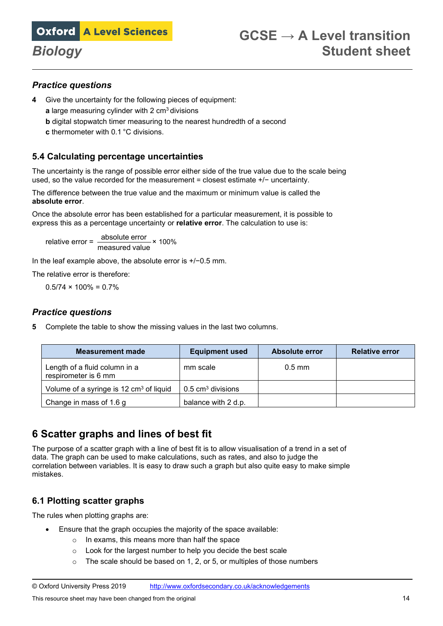

#### *Practice questions*

- **4** Give the uncertainty for the following pieces of equipment:
	- **a** large measuring cylinder with 2 cm<sup>3</sup> divisions
	- **b** digital stopwatch timer measuring to the nearest hundredth of a second
	- **c** thermometer with 0.1 °C divisions.

#### **5.4 Calculating percentage uncertainties**

The uncertainty is the range of possible error either side of the true value due to the scale being used, so the value recorded for the measurement = closest estimate +/− uncertainty.

The difference between the true value and the maximum or minimum value is called the **absolute error**.

Once the absolute error has been established for a particular measurement, it is possible to express this as a percentage uncertainty or **relative error**. The calculation to use is:

relative error =  $\frac{\text{absolute error}}{\text{mean}} \times 100\%$ measured value

In the leaf example above, the absolute error is +/−0.5 mm.

The relative error is therefore:

 $0.5/74 \times 100\% = 0.7\%$ 

#### *Practice questions*

**5** Complete the table to show the missing values in the last two columns.

| <b>Measurement made</b>                               | <b>Equipment used</b>        | <b>Absolute error</b> | <b>Relative error</b> |
|-------------------------------------------------------|------------------------------|-----------------------|-----------------------|
| Length of a fluid column in a<br>respirometer is 6 mm | mm scale                     | $0.5$ mm              |                       |
| Volume of a syringe is 12 cm <sup>3</sup> of liquid   | $0.5 \text{ cm}^3$ divisions |                       |                       |
| Change in mass of 1.6 g                               | balance with 2 d.p.          |                       |                       |

## **6 Scatter graphs and lines of best fit**

The purpose of a scatter graph with a line of best fit is to allow visualisation of a trend in a set of data. The graph can be used to make calculations, such as rates, and also to judge the correlation between variables. It is easy to draw such a graph but also quite easy to make simple mistakes.

#### **6.1 Plotting scatter graphs**

The rules when plotting graphs are:

- Ensure that the graph occupies the majority of the space available:
	- o In exams, this means more than half the space
	- o Look for the largest number to help you decide the best scale
	- $\circ$  The scale should be based on 1, 2, or 5, or multiples of those numbers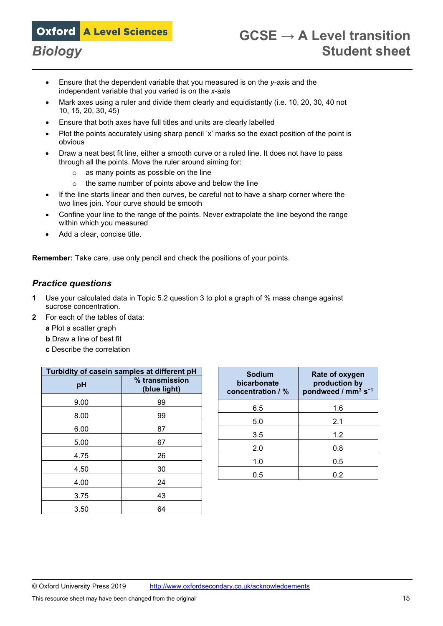- Ensure that the dependent variable that you measured is on the *y*-axis and the independent variable that you varied is on the *x*-axis
- Mark axes using a ruler and divide them clearly and equidistantly (i.e. 10, 20, 30, 40 not 10, 15, 20, 30, 45)
- Ensure that both axes have full titles and units are clearly labelled
- Plot the points accurately using sharp pencil 'x' marks so the exact position of the point is obvious
- Draw a neat best fit line, either a smooth curve or a ruled line. It does not have to pass through all the points. Move the ruler around aiming for:
	- o as many points as possible on the line
	- o the same number of points above and below the line
- If the line starts linear and then curves, be careful not to have a sharp corner where the two lines join. Your curve should be smooth
- Confine your line to the range of the points. Never extrapolate the line beyond the range within which you measured
- Add a clear, concise title.

**Remember:** Take care, use only pencil and check the positions of your points.

#### *Practice questions*

- **1** Use your calculated data in Topic 5.2 question 3 to plot a graph of % mass change against sucrose concentration.
- **2** For each of the tables of data:
	- **a** Plot a scatter graph
	- **b** Draw a line of best fit
	- **c** Describe the correlation

| Turbidity of casein samples at different pH |                                |  |
|---------------------------------------------|--------------------------------|--|
| pH                                          | % transmission<br>(blue light) |  |
| 9.00                                        | 99                             |  |
| 8.00                                        | 99                             |  |
| 6.00                                        | 87                             |  |
| 5.00                                        | 67                             |  |
| 4.75                                        | 26                             |  |
| 4.50                                        | 30                             |  |
| 4.00                                        | 24                             |  |
| 3.75                                        | 43                             |  |
| 3.50                                        | 64                             |  |

| <b>Sodium</b><br>bicarbonate<br>concentration / % | Rate of oxygen<br>production by<br>pondweed / $mm3 s-1$ |
|---------------------------------------------------|---------------------------------------------------------|
| 6.5                                               | 1.6                                                     |
| 5.0                                               | 2.1                                                     |
| 3.5                                               | 1.2                                                     |
| 2.0                                               | 0.8                                                     |
| 1.0                                               | 0.5                                                     |
| 0.5                                               | 0 2                                                     |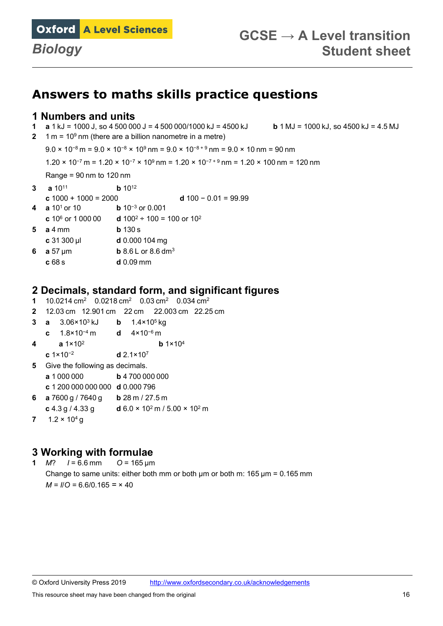

## **Answers to maths skills practice questions**

#### **1 Numbers and units**

- **1 a** 1 kJ = 1000 J, so 4 500 000 J = 4 500 000/1000 kJ = 4500 kJ **b** 1 MJ = 1000 kJ, so 4500 kJ = 4.5 MJ
- **2** 1 m = 109 nm (there are a billion nanometre in a metre)

 $9.0 \times 10^{-8}$  m =  $9.0 \times 10^{-8} \times 10^{9}$  nm =  $9.0 \times 10^{-8}$  nm =  $9.0 \times 10$  nm =  $90$  nm

1.20 × 10<sup>−</sup><sup>7</sup> m = 1.20 × 10<sup>−</sup><sup>7</sup> × 109 nm = 1.20 × 10<sup>−</sup>7 + 9 nm = 1.20 × 100 nm = 120 nm

Range =  $90 \text{ nm}$  to  $120 \text{ nm}$ 

- **3 a** 1011 **b** 1012 **c**  $1000 + 1000 = 2000$ <br>**d**  $100 - 0.01 = 99.99$ <br>**d**  $10^{-3}$  or  $0.001$ **b** 10<sup>-3</sup> or 0.001
- **c**  $10^6$  or  $1\,000\,00$  **d**  $100^2 \div 100 = 100$  or  $10^2$
- **5 a** 4 mm **b** 130 s
- **c** 31 300 µl **d** 0.000 104 mg
- **6 a** 57 µm **b** 8.6 L or 8.6 dm<sup>3</sup>
- **c** 68 s **d** 0.09 mm

# **2 Decimals, standard form, and significant figures**

- **1** 10.0214 cm2 0.0218 cm2 0.03 cm2 0.034 cm<sup>2</sup>
- **2** 12.03 cm 12.901 cm 22 cm 22.003 cm 22.25 cm
- **3 a** 3.06×103 kJ **b** 1.4×105 kg
- **c** 1.8×10−4 m **d** 4×10−6 m
- **4 a** 1×102 **b** 1×104
- **c** 1×10<sup>−</sup><sup>2</sup> **d** 2.1×107
- **5** Give the following as decimals.
	- **a** 1 000 000 **b** 4 700 000 000
	- **c** 1 200 000 000 000 **d** 0.000 796
- **6 a** 7600 g / 7640 g **b** 28 m / 27.5 m
- **c** 4.3 g / 4.33 g **d** 6.0 × 102 m / 5.00 × 102 m
- 7  $1.2 \times 10^4$  g

# **3 Working with formulae**<br>1 M?  $I = 6.6$  mm  $Q = 165$  um

**1** *M*?  $I = 6.6$  mm Change to same units: either both mm or both μm or both m: 165 μm = 0.165 mm *M = I*/*O =* 6.6/0.165 *=* × 40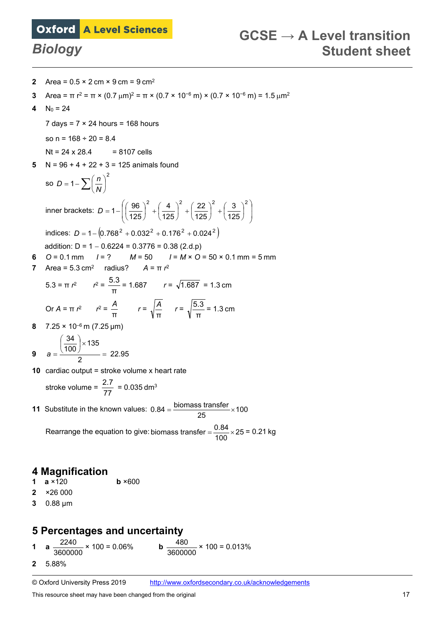- **2** Area =  $0.5 \times 2$  cm  $\times$  9 cm =  $9$  cm<sup>2</sup>
- **3** Area = π r<sup>2</sup> = π × (0.7 μm)<sup>2</sup> = π × (0.7 × 10<sup>-6</sup> m) × (0.7 × 10<sup>-6</sup> m) = 1.5 μm<sup>2</sup>
- **4**  $N_0 = 24$

7 days =  $7 \times 24$  hours = 168 hours

so  $n = 168 \div 20 = 8.4$ 

 $Nt = 24 \times 28.4 = 8107$  cells

**5** N = 96 + 4 + 22 + 3 = 125 animals found

so 
$$
D = 1 - \sum \left(\frac{n}{N}\right)^2
$$
  
\ninner brackets:  $D = 1 - \left(\left(\frac{96}{125}\right)^2 + \left(\frac{4}{125}\right)^2 + \left(\frac{22}{125}\right)^2 + \left(\frac{3}{125}\right)^2\right)$   
\nindices:  $D = 1 - \left(0.768^2 + 0.032^2 + 0.176^2 + 0.024^2\right)$   
\naddition:  $D = 1 - 0.6224 = 0.3776 = 0.38$  (2.d.p)  
\n6  $O = 0.1$  mm  $I = ?$   $M = 50$   $I = M \times O = 50 \times 0.1$  mm = 5 mm  
\nArea = 5.3 cm<sup>2</sup> radius?  $A = \pi r^2$   
\n $f = \sqrt{1.687} = 1.3$  cm  
\n $Or A = \pi r^2$   $r^2 = \frac{A}{\pi}$   $r = \sqrt{\frac{A}{\pi}}$   $r = \sqrt{\frac{5.3}{\pi}} = 1.3$  cm  
\n8  $7.25 \times 10^{-6}$  m (7.25 µm)  
\n $a = \frac{\left(\frac{34}{100}\right) \times 135}{2} = 22.95$ 

**10** cardiac output = stroke volume x heart rate

$$
stroke volume = \frac{2.7}{77} = 0.035 dm3
$$

**11** Substitute in the known values:  $0.84 = \frac{\text{biomass transfer}}{25} \times 100$  $\overline{25}$ 

Rearrange the equation to give: biomass transfer =  $\frac{0.84}{100}$  × 25 = 0.21 kg

### **4 Magnification**

- **1 a** ×120 **b** ×600
- **2** ×26 000
- **3** 0.88 µm

## **5 Percentages and uncertainty**

- **1 a**  $\frac{2240}{3600000} \times 100 = 0.06\%$  **b** 3600000  $\frac{480}{20000}$  × 100 = 0.013%
- **2** 5.88%

© Oxford University Press 2019 <http://www.oxfordsecondary.co.uk/acknowledgements>